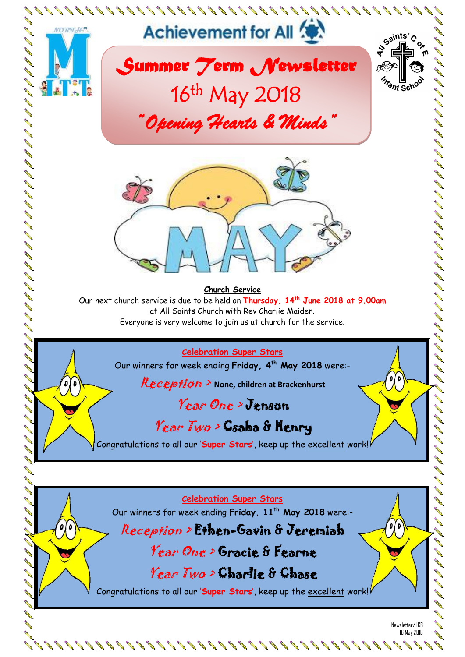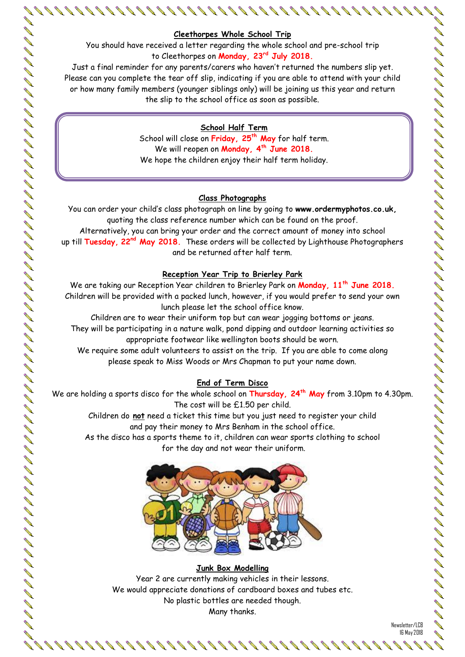## **Cleethorpes Whole School Trip**

You should have received a letter regarding the whole school and pre-school trip to Cleethorpes on **Monday, 23rd July 2018.**

Just a final reminder for any parents/carers who haven't returned the numbers slip yet. Please can you complete the tear off slip, indicating if you are able to attend with your child or how many family members (younger siblings only) will be joining us this year and return the slip to the school office as soon as possible.

# **School Half Term**

School will close on **Friday, 25th May** for half term. We will reopen on **Monday, 4th June 2018.** We hope the children enjoy their half term holiday.

## **Class Photographs**

You can order your child's class photograph on line by going to **www.ordermyphotos.co.uk,** quoting the class reference number which can be found on the proof. Alternatively, you can bring your order and the correct amount of money into school

up till **Tuesday, 22nd May 2018.** These orders will be collected by Lighthouse Photographers and be returned after half term.

# **Reception Year Trip to Brierley Park**

We are taking our Reception Year children to Brierley Park on **Monday, 11th June 2018.** Children will be provided with a packed lunch, however, if you would prefer to send your own lunch please let the school office know.

Children are to wear their uniform top but can wear jogging bottoms or jeans. They will be participating in a nature walk, pond dipping and outdoor learning activities so appropriate footwear like wellington boots should be worn.

We require some adult volunteers to assist on the trip. If you are able to come along please speak to Miss Woods or Mrs Chapman to put your name down.

# **End of Term Disco**

We are holding a sports disco for the whole school on **Thursday, 24th May** from 3.10pm to 4.30pm. The cost will be £1.50 per child.

> Children do **not** need a ticket this time but you just need to register your child and pay their money to Mrs Benham in the school office.

As the disco has a sports theme to it, children can wear sports clothing to school for the day and not wear their uniform.



# **Junk Box Modelling**

Year 2 are currently making vehicles in their lessons. We would appreciate donations of cardboard boxes and tubes etc. No plastic bottles are needed though. Many thanks.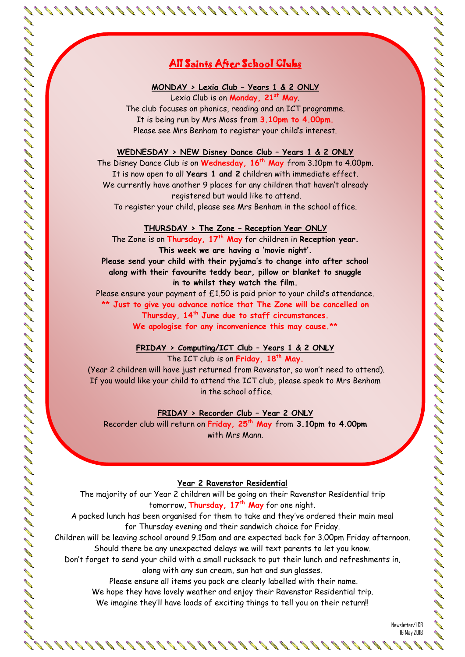# <u>All Saints After School Clubs</u>

### **MONDAY > Lexia Club – Years 1 & 2 ONLY**

Lexia Club is on **Monday, 21st May**. The club focuses on phonics, reading and an ICT programme. It is being run by Mrs Moss from **3.10pm to 4.00pm.** Please see Mrs Benham to register your child's interest.

#### **WEDNESDAY > NEW Disney Dance Club – Years 1 & 2 ONLY**

The Disney Dance Club is on **Wednesday, 16th May** from 3.10pm to 4.00pm. It is now open to all **Years 1 and 2** children with immediate effect. We currently have another 9 places for any children that haven't already registered but would like to attend.

To register your child, please see Mrs Benham in the school office.

#### **THURSDAY > The Zone – Reception Year ONLY**

The Zone is on **Thursday, 17th May** for children in **Reception year. This week we are having a 'movie night'. Please send your child with their pyjama's to change into after school along with their favourite teddy bear, pillow or blanket to snuggle** 

# **in to whilst they watch the film.**

Please ensure your payment of £1.50 is paid prior to your child's attendance. **\*\* Just to give you advance notice that The Zone will be cancelled on Thursday, 14th June due to staff circumstances. We apologise for any inconvenience this may cause.\*\***

## **FRIDAY > Computing/ICT Club – Years 1 & 2 ONLY** The ICT club is on **Friday, 18th May.**

(Year 2 children will have just returned from Ravenstor, so won't need to attend). If you would like your child to attend the ICT club, please speak to Mrs Benham in the school office.

## **FRIDAY > Recorder Club – Year 2 ONLY**

Recorder club will return on **Friday, 25th May** from **3.10pm to 4.00pm** with Mrs Mann.

## **Year 2 Ravenstor Residential**

The majority of our Year 2 children will be going on their Ravenstor Residential trip tomorrow, **Thursday, 17th May** for one night.

A packed lunch has been organised for them to take and they've ordered their main meal for Thursday evening and their sandwich choice for Friday.

Children will be leaving school around 9.15am and are expected back for 3.00pm Friday afternoon. Should there be any unexpected delays we will text parents to let you know.

Don't forget to send your child with a small rucksack to put their lunch and refreshments in, along with any sun cream, sun hat and sun glasses.

Please ensure all items you pack are clearly labelled with their name.

We hope they have lovely weather and enjoy their Ravenstor Residential trip.

We imagine they'll have loads of exciting things to tell you on their return!!

Newsletter/LCB 16 May 2018